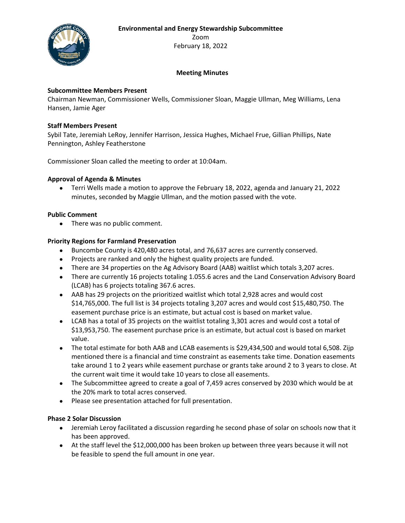**Environmental and Energy Stewardship Subcommittee**



Zoom February 18, 2022

# **Meeting Minutes**

### **Subcommittee Members Present**

Chairman Newman, Commissioner Wells, Commissioner Sloan, Maggie Ullman, Meg Williams, Lena Hansen, Jamie Ager

### **Staff Members Present**

Sybil Tate, Jeremiah LeRoy, Jennifer Harrison, Jessica Hughes, Michael Frue, Gillian Phillips, Nate Pennington, Ashley Featherstone

Commissioner Sloan called the meeting to order at 10:04am.

### **Approval of Agenda & Minutes**

• Terri Wells made a motion to approve the February 18, 2022, agenda and January 21, 2022 minutes, seconded by Maggie Ullman, and the motion passed with the vote.

### **Public Comment**

• There was no public comment.

### **Priority Regions for Farmland Preservation**

- Buncombe County is 420,480 acres total, and 76,637 acres are currently conserved.
- Projects are ranked and only the highest quality projects are funded.
- There are 34 properties on the Ag Advisory Board (AAB) waitlist which totals 3,207 acres.
- There are currently 16 projects totaling 1.055.6 acres and the Land Conservation Advisory Board (LCAB) has 6 projects totaling 367.6 acres.
- AAB has 29 projects on the prioritized waitlist which total 2,928 acres and would cost \$14,765,000. The full list is 34 projects totaling 3,207 acres and would cost \$15,480,750. The easement purchase price is an estimate, but actual cost is based on market value.
- LCAB has a total of 35 projects on the waitlist totaling 3,301 acres and would cost a total of \$13,953,750. The easement purchase price is an estimate, but actual cost is based on market value.
- The total estimate for both AAB and LCAB easements is \$29,434,500 and would total 6,508. Zijp mentioned there is a financial and time constraint as easements take time. Donation easements take around 1 to 2 years while easement purchase or grants take around 2 to 3 years to close. At the current wait time it would take 10 years to close all easements.
- The Subcommittee agreed to create a goal of 7,459 acres conserved by 2030 which would be at the 20% mark to total acres conserved.
- Please see presentation attached for full presentation.

### **Phase 2 Solar Discussion**

- Jeremiah Leroy facilitated a discussion regarding he second phase of solar on schools now that it has been approved.
- At the staff level the \$12,000,000 has been broken up between three years because it will not be feasible to spend the full amount in one year.